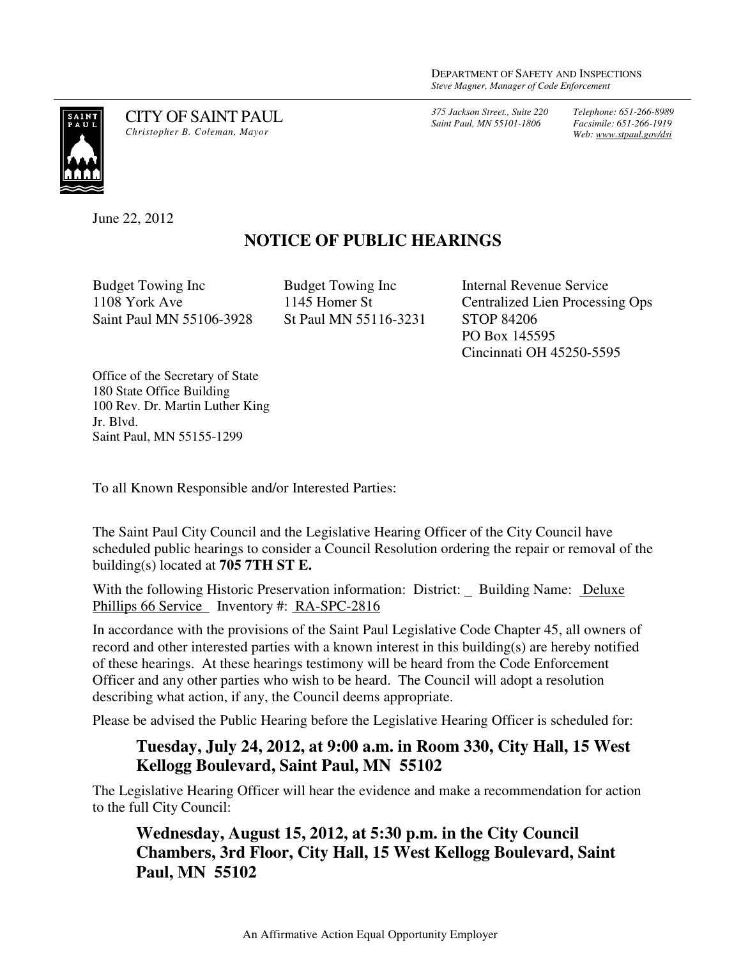*375 Jackson Street., Suite 220 Saint Paul, MN 55101-1806*

*Telephone: 651-266-8989 Facsimile: 651-266-1919 Web: www.stpaul.gov/dsi*



CITY OF SAINT PAUL *Christopher B. Coleman, Mayor* 

June 22, 2012

## **NOTICE OF PUBLIC HEARINGS**

Budget Towing Inc 1108 York Ave Saint Paul MN 55106-3928

Budget Towing Inc 1145 Homer St St Paul MN 55116-3231 Internal Revenue Service Centralized Lien Processing Ops STOP 84206 PO Box 145595 Cincinnati OH 45250-5595

Office of the Secretary of State 180 State Office Building 100 Rev. Dr. Martin Luther King Jr. Blvd. Saint Paul, MN 55155-1299

To all Known Responsible and/or Interested Parties:

The Saint Paul City Council and the Legislative Hearing Officer of the City Council have scheduled public hearings to consider a Council Resolution ordering the repair or removal of the building(s) located at **705 7TH ST E.** 

With the following Historic Preservation information: District: Building Name: Deluxe Phillips 66 Service Inventory #: RA-SPC-2816

In accordance with the provisions of the Saint Paul Legislative Code Chapter 45, all owners of record and other interested parties with a known interest in this building(s) are hereby notified of these hearings. At these hearings testimony will be heard from the Code Enforcement Officer and any other parties who wish to be heard. The Council will adopt a resolution describing what action, if any, the Council deems appropriate.

Please be advised the Public Hearing before the Legislative Hearing Officer is scheduled for:

## **Tuesday, July 24, 2012, at 9:00 a.m. in Room 330, City Hall, 15 West Kellogg Boulevard, Saint Paul, MN 55102**

The Legislative Hearing Officer will hear the evidence and make a recommendation for action to the full City Council:

**Wednesday, August 15, 2012, at 5:30 p.m. in the City Council Chambers, 3rd Floor, City Hall, 15 West Kellogg Boulevard, Saint Paul, MN 55102**